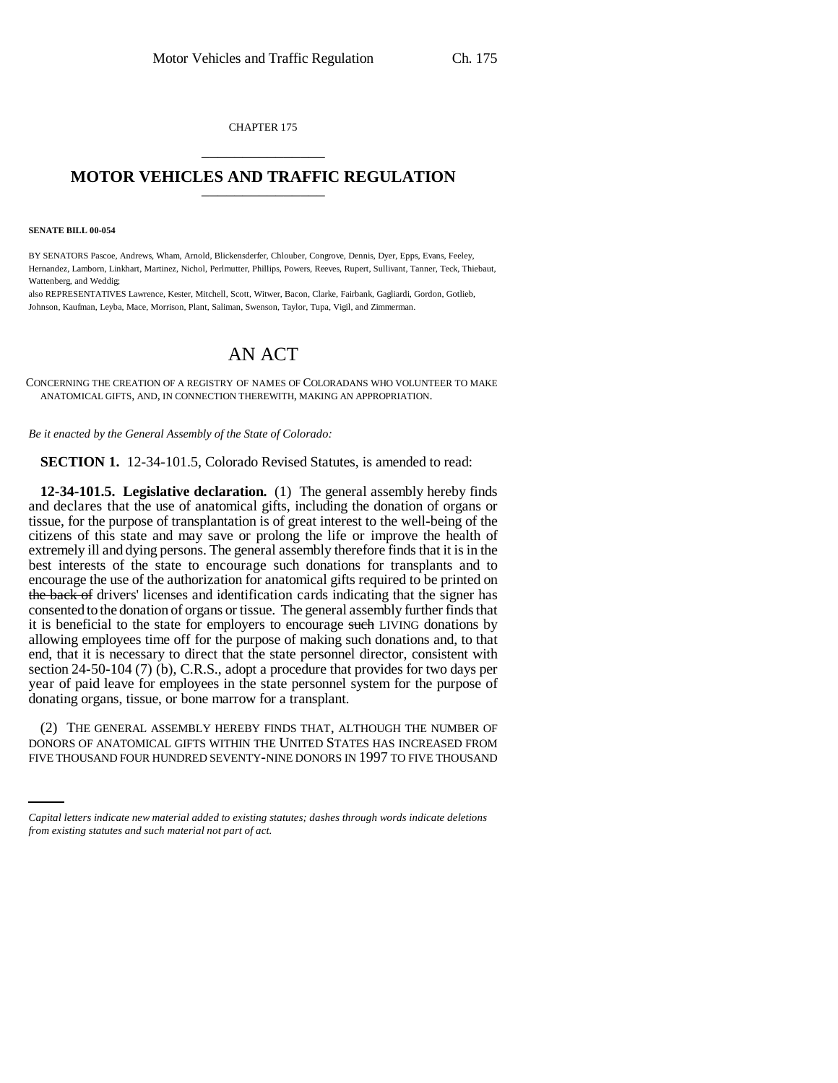CHAPTER 175 \_\_\_\_\_\_\_\_\_\_\_\_\_\_\_

## **MOTOR VEHICLES AND TRAFFIC REGULATION** \_\_\_\_\_\_\_\_\_\_\_\_\_\_\_

**SENATE BILL 00-054** 

BY SENATORS Pascoe, Andrews, Wham, Arnold, Blickensderfer, Chlouber, Congrove, Dennis, Dyer, Epps, Evans, Feeley, Hernandez, Lamborn, Linkhart, Martinez, Nichol, Perlmutter, Phillips, Powers, Reeves, Rupert, Sullivant, Tanner, Teck, Thiebaut, Wattenberg, and Weddig;

also REPRESENTATIVES Lawrence, Kester, Mitchell, Scott, Witwer, Bacon, Clarke, Fairbank, Gagliardi, Gordon, Gotlieb, Johnson, Kaufman, Leyba, Mace, Morrison, Plant, Saliman, Swenson, Taylor, Tupa, Vigil, and Zimmerman.

## AN ACT

CONCERNING THE CREATION OF A REGISTRY OF NAMES OF COLORADANS WHO VOLUNTEER TO MAKE ANATOMICAL GIFTS, AND, IN CONNECTION THEREWITH, MAKING AN APPROPRIATION.

*Be it enacted by the General Assembly of the State of Colorado:*

**SECTION 1.** 12-34-101.5, Colorado Revised Statutes, is amended to read:

**12-34-101.5. Legislative declaration.** (1) The general assembly hereby finds and declares that the use of anatomical gifts, including the donation of organs or tissue, for the purpose of transplantation is of great interest to the well-being of the citizens of this state and may save or prolong the life or improve the health of extremely ill and dying persons. The general assembly therefore finds that it is in the best interests of the state to encourage such donations for transplants and to encourage the use of the authorization for anatomical gifts required to be printed on the back of drivers' licenses and identification cards indicating that the signer has consented to the donation of organs or tissue. The general assembly further finds that it is beneficial to the state for employers to encourage such LIVING donations by allowing employees time off for the purpose of making such donations and, to that end, that it is necessary to direct that the state personnel director, consistent with section 24-50-104 (7) (b), C.R.S., adopt a procedure that provides for two days per year of paid leave for employees in the state personnel system for the purpose of donating organs, tissue, or bone marrow for a transplant.

(2) THE GENERAL ASSEMBLY HEREBY FINDS THAT, ALTHOUGH THE NUMBER OF DONORS OF ANATOMICAL GIFTS WITHIN THE UNITED STATES HAS INCREASED FROM FIVE THOUSAND FOUR HUNDRED SEVENTY-NINE DONORS IN 1997 TO FIVE THOUSAND

*Capital letters indicate new material added to existing statutes; dashes through words indicate deletions from existing statutes and such material not part of act.*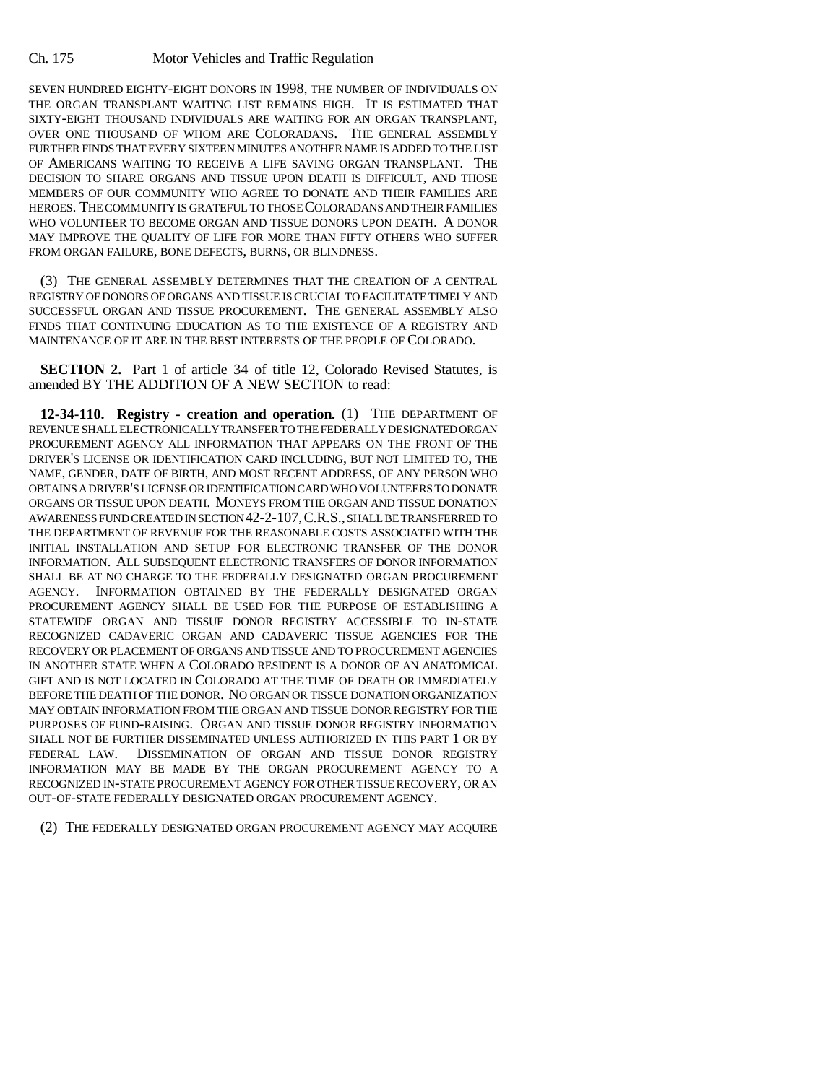Ch. 175 Motor Vehicles and Traffic Regulation

SEVEN HUNDRED EIGHTY-EIGHT DONORS IN 1998, THE NUMBER OF INDIVIDUALS ON THE ORGAN TRANSPLANT WAITING LIST REMAINS HIGH. IT IS ESTIMATED THAT SIXTY-EIGHT THOUSAND INDIVIDUALS ARE WAITING FOR AN ORGAN TRANSPLANT, OVER ONE THOUSAND OF WHOM ARE COLORADANS. THE GENERAL ASSEMBLY FURTHER FINDS THAT EVERY SIXTEEN MINUTES ANOTHER NAME IS ADDED TO THE LIST OF AMERICANS WAITING TO RECEIVE A LIFE SAVING ORGAN TRANSPLANT. THE DECISION TO SHARE ORGANS AND TISSUE UPON DEATH IS DIFFICULT, AND THOSE MEMBERS OF OUR COMMUNITY WHO AGREE TO DONATE AND THEIR FAMILIES ARE HEROES. THE COMMUNITY IS GRATEFUL TO THOSE COLORADANS AND THEIR FAMILIES WHO VOLUNTEER TO BECOME ORGAN AND TISSUE DONORS UPON DEATH. A DONOR MAY IMPROVE THE QUALITY OF LIFE FOR MORE THAN FIFTY OTHERS WHO SUFFER FROM ORGAN FAILURE, BONE DEFECTS, BURNS, OR BLINDNESS.

(3) THE GENERAL ASSEMBLY DETERMINES THAT THE CREATION OF A CENTRAL REGISTRY OF DONORS OF ORGANS AND TISSUE IS CRUCIAL TO FACILITATE TIMELY AND SUCCESSFUL ORGAN AND TISSUE PROCUREMENT. THE GENERAL ASSEMBLY ALSO FINDS THAT CONTINUING EDUCATION AS TO THE EXISTENCE OF A REGISTRY AND MAINTENANCE OF IT ARE IN THE BEST INTERESTS OF THE PEOPLE OF COLORADO.

**SECTION 2.** Part 1 of article 34 of title 12, Colorado Revised Statutes, is amended BY THE ADDITION OF A NEW SECTION to read:

**12-34-110. Registry - creation and operation.** (1) THE DEPARTMENT OF REVENUE SHALL ELECTRONICALLY TRANSFER TO THE FEDERALLY DESIGNATED ORGAN PROCUREMENT AGENCY ALL INFORMATION THAT APPEARS ON THE FRONT OF THE DRIVER'S LICENSE OR IDENTIFICATION CARD INCLUDING, BUT NOT LIMITED TO, THE NAME, GENDER, DATE OF BIRTH, AND MOST RECENT ADDRESS, OF ANY PERSON WHO OBTAINS A DRIVER'S LICENSE OR IDENTIFICATION CARD WHO VOLUNTEERS TO DONATE ORGANS OR TISSUE UPON DEATH. MONEYS FROM THE ORGAN AND TISSUE DONATION AWARENESS FUND CREATED IN SECTION 42-2-107,C.R.S., SHALL BE TRANSFERRED TO THE DEPARTMENT OF REVENUE FOR THE REASONABLE COSTS ASSOCIATED WITH THE INITIAL INSTALLATION AND SETUP FOR ELECTRONIC TRANSFER OF THE DONOR INFORMATION. ALL SUBSEQUENT ELECTRONIC TRANSFERS OF DONOR INFORMATION SHALL BE AT NO CHARGE TO THE FEDERALLY DESIGNATED ORGAN PROCUREMENT AGENCY. INFORMATION OBTAINED BY THE FEDERALLY DESIGNATED ORGAN PROCUREMENT AGENCY SHALL BE USED FOR THE PURPOSE OF ESTABLISHING A STATEWIDE ORGAN AND TISSUE DONOR REGISTRY ACCESSIBLE TO IN-STATE RECOGNIZED CADAVERIC ORGAN AND CADAVERIC TISSUE AGENCIES FOR THE RECOVERY OR PLACEMENT OF ORGANS AND TISSUE AND TO PROCUREMENT AGENCIES IN ANOTHER STATE WHEN A COLORADO RESIDENT IS A DONOR OF AN ANATOMICAL GIFT AND IS NOT LOCATED IN COLORADO AT THE TIME OF DEATH OR IMMEDIATELY BEFORE THE DEATH OF THE DONOR. NO ORGAN OR TISSUE DONATION ORGANIZATION MAY OBTAIN INFORMATION FROM THE ORGAN AND TISSUE DONOR REGISTRY FOR THE PURPOSES OF FUND-RAISING. ORGAN AND TISSUE DONOR REGISTRY INFORMATION SHALL NOT BE FURTHER DISSEMINATED UNLESS AUTHORIZED IN THIS PART 1 OR BY FEDERAL LAW. DISSEMINATION OF ORGAN AND TISSUE DONOR REGISTRY INFORMATION MAY BE MADE BY THE ORGAN PROCUREMENT AGENCY TO A RECOGNIZED IN-STATE PROCUREMENT AGENCY FOR OTHER TISSUE RECOVERY, OR AN OUT-OF-STATE FEDERALLY DESIGNATED ORGAN PROCUREMENT AGENCY.

(2) THE FEDERALLY DESIGNATED ORGAN PROCUREMENT AGENCY MAY ACQUIRE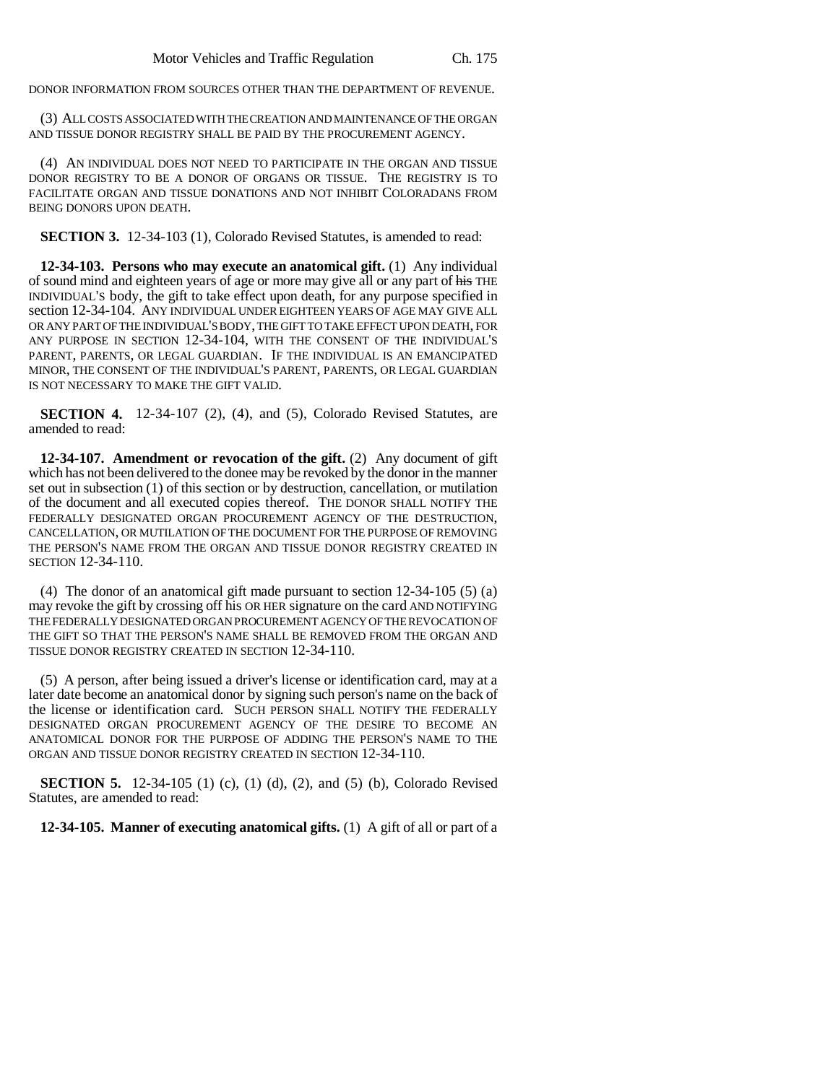DONOR INFORMATION FROM SOURCES OTHER THAN THE DEPARTMENT OF REVENUE.

(3) ALL COSTS ASSOCIATED WITH THE CREATION AND MAINTENANCE OF THE ORGAN AND TISSUE DONOR REGISTRY SHALL BE PAID BY THE PROCUREMENT AGENCY.

(4) AN INDIVIDUAL DOES NOT NEED TO PARTICIPATE IN THE ORGAN AND TISSUE DONOR REGISTRY TO BE A DONOR OF ORGANS OR TISSUE. THE REGISTRY IS TO FACILITATE ORGAN AND TISSUE DONATIONS AND NOT INHIBIT COLORADANS FROM BEING DONORS UPON DEATH.

**SECTION 3.** 12-34-103 (1), Colorado Revised Statutes, is amended to read:

**12-34-103. Persons who may execute an anatomical gift.** (1) Any individual of sound mind and eighteen years of age or more may give all or any part of his THE INDIVIDUAL'S body, the gift to take effect upon death, for any purpose specified in section 12-34-104. ANY INDIVIDUAL UNDER EIGHTEEN YEARS OF AGE MAY GIVE ALL OR ANY PART OF THE INDIVIDUAL'S BODY, THE GIFT TO TAKE EFFECT UPON DEATH, FOR ANY PURPOSE IN SECTION 12-34-104, WITH THE CONSENT OF THE INDIVIDUAL'S PARENT, PARENTS, OR LEGAL GUARDIAN. IF THE INDIVIDUAL IS AN EMANCIPATED MINOR, THE CONSENT OF THE INDIVIDUAL'S PARENT, PARENTS, OR LEGAL GUARDIAN IS NOT NECESSARY TO MAKE THE GIFT VALID.

**SECTION 4.** 12-34-107 (2), (4), and (5), Colorado Revised Statutes, are amended to read:

**12-34-107. Amendment or revocation of the gift.** (2) Any document of gift which has not been delivered to the donee may be revoked by the donor in the manner set out in subsection (1) of this section or by destruction, cancellation, or mutilation of the document and all executed copies thereof. THE DONOR SHALL NOTIFY THE FEDERALLY DESIGNATED ORGAN PROCUREMENT AGENCY OF THE DESTRUCTION, CANCELLATION, OR MUTILATION OF THE DOCUMENT FOR THE PURPOSE OF REMOVING THE PERSON'S NAME FROM THE ORGAN AND TISSUE DONOR REGISTRY CREATED IN SECTION 12-34-110.

(4) The donor of an anatomical gift made pursuant to section 12-34-105 (5) (a) may revoke the gift by crossing off his OR HER signature on the card AND NOTIFYING THE FEDERALLY DESIGNATED ORGAN PROCUREMENT AGENCY OF THE REVOCATION OF THE GIFT SO THAT THE PERSON'S NAME SHALL BE REMOVED FROM THE ORGAN AND TISSUE DONOR REGISTRY CREATED IN SECTION 12-34-110.

(5) A person, after being issued a driver's license or identification card, may at a later date become an anatomical donor by signing such person's name on the back of the license or identification card. SUCH PERSON SHALL NOTIFY THE FEDERALLY DESIGNATED ORGAN PROCUREMENT AGENCY OF THE DESIRE TO BECOME AN ANATOMICAL DONOR FOR THE PURPOSE OF ADDING THE PERSON'S NAME TO THE ORGAN AND TISSUE DONOR REGISTRY CREATED IN SECTION 12-34-110.

**SECTION 5.** 12-34-105 (1) (c), (1) (d), (2), and (5) (b), Colorado Revised Statutes, are amended to read:

**12-34-105. Manner of executing anatomical gifts.** (1) A gift of all or part of a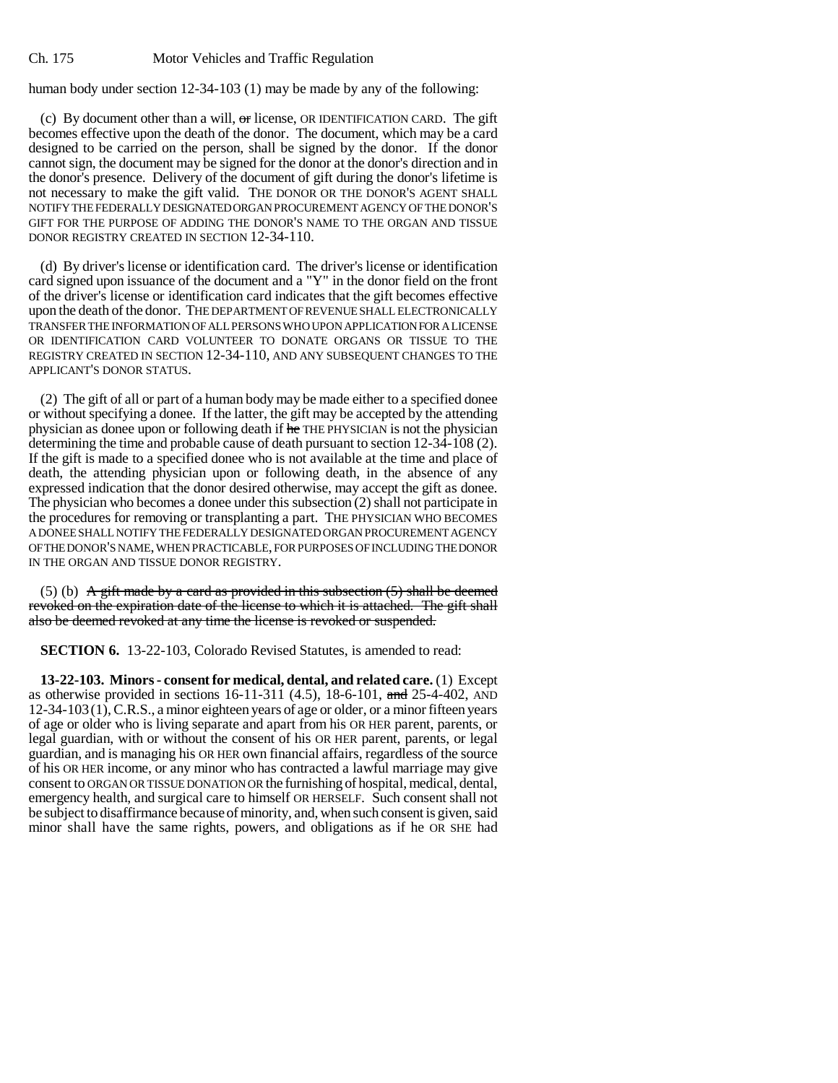human body under section 12-34-103 (1) may be made by any of the following:

(c) By document other than a will,  $\sigma$  license, OR IDENTIFICATION CARD. The gift becomes effective upon the death of the donor. The document, which may be a card designed to be carried on the person, shall be signed by the donor. If the donor cannot sign, the document may be signed for the donor at the donor's direction and in the donor's presence. Delivery of the document of gift during the donor's lifetime is not necessary to make the gift valid. THE DONOR OR THE DONOR'S AGENT SHALL NOTIFY THE FEDERALLY DESIGNATED ORGAN PROCUREMENT AGENCY OF THE DONOR'S GIFT FOR THE PURPOSE OF ADDING THE DONOR'S NAME TO THE ORGAN AND TISSUE DONOR REGISTRY CREATED IN SECTION 12-34-110.

(d) By driver's license or identification card. The driver's license or identification card signed upon issuance of the document and a "Y" in the donor field on the front of the driver's license or identification card indicates that the gift becomes effective upon the death of the donor. THE DEPARTMENT OF REVENUE SHALL ELECTRONICALLY TRANSFER THE INFORMATION OF ALL PERSONS WHO UPON APPLICATION FOR A LICENSE OR IDENTIFICATION CARD VOLUNTEER TO DONATE ORGANS OR TISSUE TO THE REGISTRY CREATED IN SECTION 12-34-110, AND ANY SUBSEQUENT CHANGES TO THE APPLICANT'S DONOR STATUS.

(2) The gift of all or part of a human body may be made either to a specified donee or without specifying a donee. If the latter, the gift may be accepted by the attending physician as donee upon or following death if he THE PHYSICIAN is not the physician determining the time and probable cause of death pursuant to section 12-34-108 (2). If the gift is made to a specified donee who is not available at the time and place of death, the attending physician upon or following death, in the absence of any expressed indication that the donor desired otherwise, may accept the gift as donee. The physician who becomes a donee under this subsection (2) shall not participate in the procedures for removing or transplanting a part. THE PHYSICIAN WHO BECOMES A DONEE SHALL NOTIFY THE FEDERALLY DESIGNATED ORGAN PROCUREMENT AGENCY OF THE DONOR'S NAME, WHEN PRACTICABLE, FOR PURPOSES OF INCLUDING THE DONOR IN THE ORGAN AND TISSUE DONOR REGISTRY.

(5) (b) A gift made by a card as provided in this subsection  $(5)$  shall be deemed revoked on the expiration date of the license to which it is attached. The gift shall also be deemed revoked at any time the license is revoked or suspended.

**SECTION 6.** 13-22-103, Colorado Revised Statutes, is amended to read:

**13-22-103. Minors - consent for medical, dental, and related care.** (1) Except as otherwise provided in sections 16-11-311 (4.5), 18-6-101, and 25-4-402, AND 12-34-103(1), C.R.S., a minor eighteen years of age or older, or a minor fifteen years of age or older who is living separate and apart from his OR HER parent, parents, or legal guardian, with or without the consent of his OR HER parent, parents, or legal guardian, and is managing his OR HER own financial affairs, regardless of the source of his OR HER income, or any minor who has contracted a lawful marriage may give consent to ORGAN OR TISSUE DONATION OR the furnishing of hospital, medical, dental, emergency health, and surgical care to himself OR HERSELF. Such consent shall not be subject to disaffirmance because of minority, and, when such consent is given, said minor shall have the same rights, powers, and obligations as if he OR SHE had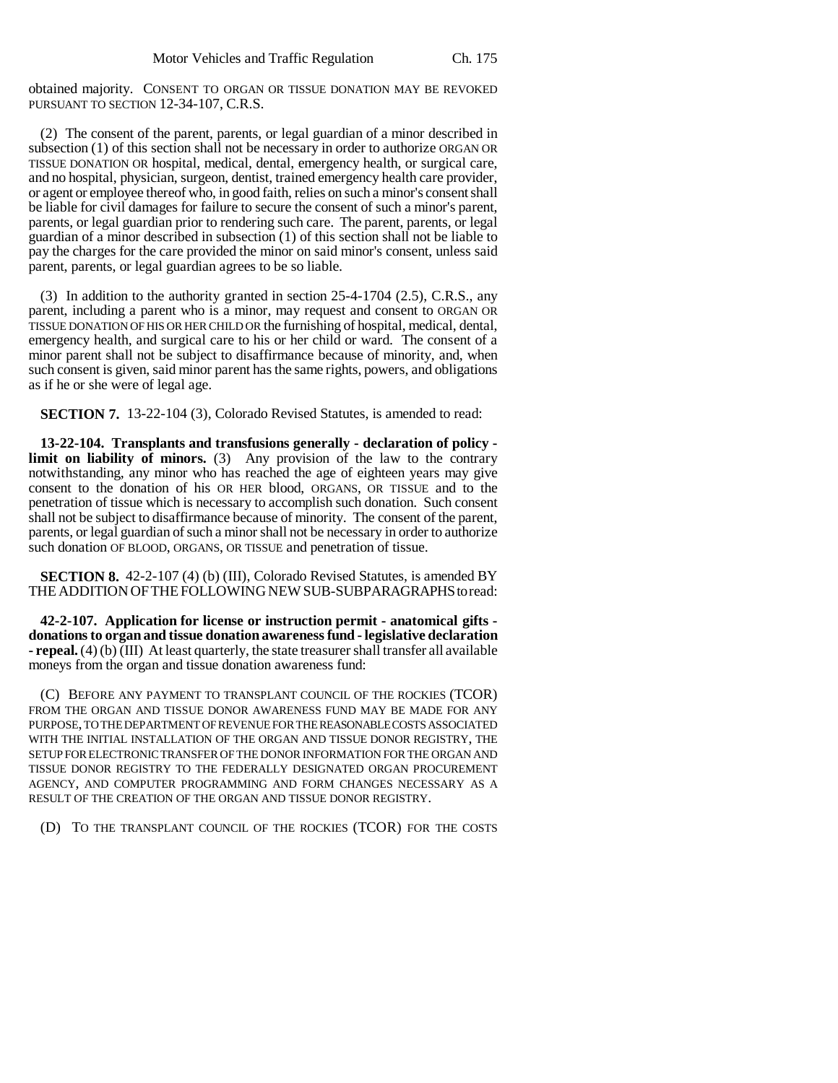obtained majority. CONSENT TO ORGAN OR TISSUE DONATION MAY BE REVOKED PURSUANT TO SECTION 12-34-107, C.R.S.

(2) The consent of the parent, parents, or legal guardian of a minor described in subsection (1) of this section shall not be necessary in order to authorize ORGAN OR TISSUE DONATION OR hospital, medical, dental, emergency health, or surgical care, and no hospital, physician, surgeon, dentist, trained emergency health care provider, or agent or employee thereof who, in good faith, relies on such a minor's consent shall be liable for civil damages for failure to secure the consent of such a minor's parent, parents, or legal guardian prior to rendering such care. The parent, parents, or legal guardian of a minor described in subsection (1) of this section shall not be liable to pay the charges for the care provided the minor on said minor's consent, unless said parent, parents, or legal guardian agrees to be so liable.

(3) In addition to the authority granted in section 25-4-1704 (2.5), C.R.S., any parent, including a parent who is a minor, may request and consent to ORGAN OR TISSUE DONATION OF HIS OR HER CHILD OR the furnishing of hospital, medical, dental, emergency health, and surgical care to his or her child or ward. The consent of a minor parent shall not be subject to disaffirmance because of minority, and, when such consent is given, said minor parent has the same rights, powers, and obligations as if he or she were of legal age.

**SECTION 7.** 13-22-104 (3), Colorado Revised Statutes, is amended to read:

**13-22-104. Transplants and transfusions generally - declaration of policy limit on liability of minors.** (3) Any provision of the law to the contrary notwithstanding, any minor who has reached the age of eighteen years may give consent to the donation of his OR HER blood, ORGANS, OR TISSUE and to the penetration of tissue which is necessary to accomplish such donation. Such consent shall not be subject to disaffirmance because of minority. The consent of the parent, parents, or legal guardian of such a minor shall not be necessary in order to authorize such donation OF BLOOD, ORGANS, OR TISSUE and penetration of tissue.

**SECTION 8.** 42-2-107 (4) (b) (III), Colorado Revised Statutes, is amended BY THE ADDITION OF THE FOLLOWING NEW SUB-SUBPARAGRAPHS to read:

**42-2-107. Application for license or instruction permit - anatomical gifts donations to organ and tissue donation awareness fund - legislative declaration - repeal.** (4) (b) (III) At least quarterly, the state treasurer shall transfer all available moneys from the organ and tissue donation awareness fund:

(C) BEFORE ANY PAYMENT TO TRANSPLANT COUNCIL OF THE ROCKIES (TCOR) FROM THE ORGAN AND TISSUE DONOR AWARENESS FUND MAY BE MADE FOR ANY PURPOSE, TO THE DEPARTMENT OF REVENUE FOR THE REASONABLE COSTS ASSOCIATED WITH THE INITIAL INSTALLATION OF THE ORGAN AND TISSUE DONOR REGISTRY, THE SETUP FOR ELECTRONIC TRANSFER OF THE DONOR INFORMATION FOR THE ORGAN AND TISSUE DONOR REGISTRY TO THE FEDERALLY DESIGNATED ORGAN PROCUREMENT AGENCY, AND COMPUTER PROGRAMMING AND FORM CHANGES NECESSARY AS A RESULT OF THE CREATION OF THE ORGAN AND TISSUE DONOR REGISTRY.

(D) TO THE TRANSPLANT COUNCIL OF THE ROCKIES (TCOR) FOR THE COSTS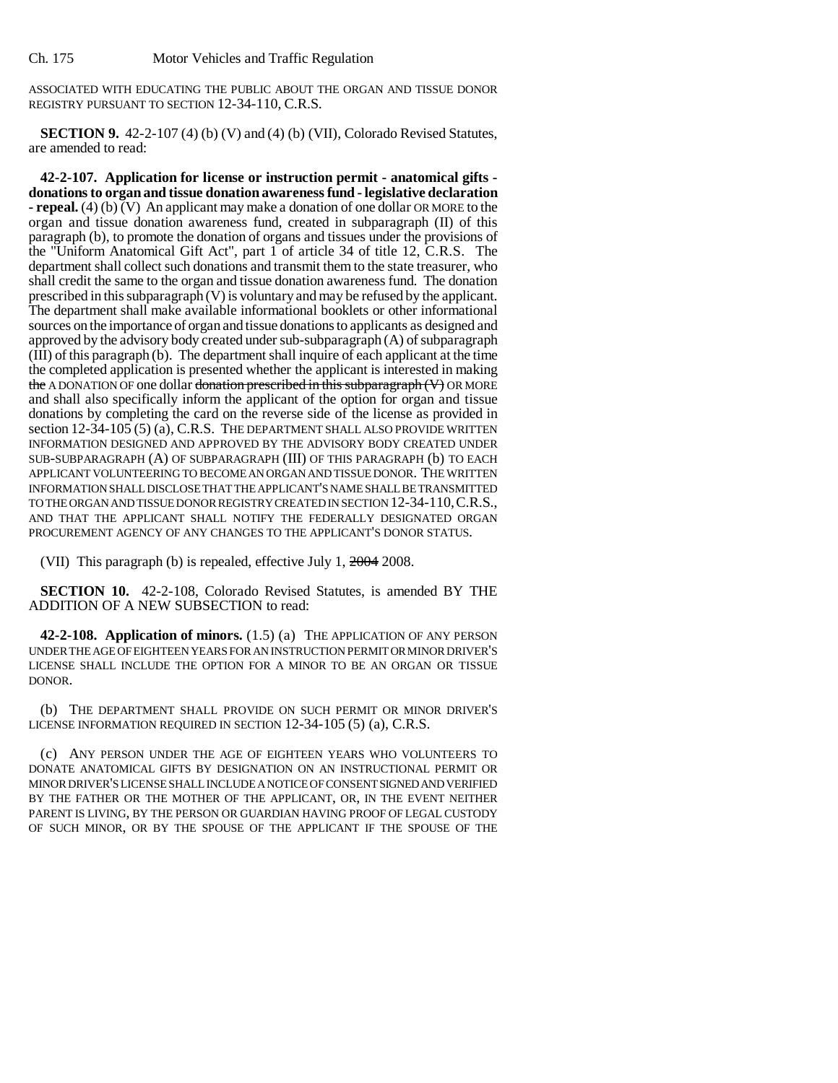ASSOCIATED WITH EDUCATING THE PUBLIC ABOUT THE ORGAN AND TISSUE DONOR REGISTRY PURSUANT TO SECTION 12-34-110, C.R.S.

**SECTION 9.** 42-2-107 (4) (b) (V) and (4) (b) (VII), Colorado Revised Statutes, are amended to read:

**42-2-107. Application for license or instruction permit - anatomical gifts donations to organ and tissue donation awareness fund - legislative declaration - repeal.** (4) (b)  $\overline{V}$  An applicant may make a donation of one dollar OR MORE to the organ and tissue donation awareness fund, created in subparagraph (II) of this paragraph (b), to promote the donation of organs and tissues under the provisions of the "Uniform Anatomical Gift Act", part 1 of article 34 of title 12, C.R.S. The department shall collect such donations and transmit them to the state treasurer, who shall credit the same to the organ and tissue donation awareness fund. The donation prescribed in this subparagraph (V) is voluntary and may be refused by the applicant. The department shall make available informational booklets or other informational sources on the importance of organ and tissue donations to applicants as designed and approved by the advisory body created under sub-subparagraph (A) of subparagraph  $(\overline{III})$  of this paragraph  $(b)$ . The department shall inquire of each applicant at the time the completed application is presented whether the applicant is interested in making the A DONATION OF one dollar donation prescribed in this subparagraph (V) OR MORE and shall also specifically inform the applicant of the option for organ and tissue donations by completing the card on the reverse side of the license as provided in section 12-34-105 (5) (a), C.R.S. THE DEPARTMENT SHALL ALSO PROVIDE WRITTEN INFORMATION DESIGNED AND APPROVED BY THE ADVISORY BODY CREATED UNDER SUB-SUBPARAGRAPH (A) OF SUBPARAGRAPH (III) OF THIS PARAGRAPH (b) TO EACH APPLICANT VOLUNTEERING TO BECOME AN ORGAN AND TISSUE DONOR. THE WRITTEN INFORMATION SHALL DISCLOSE THAT THE APPLICANT'S NAME SHALL BE TRANSMITTED TO THE ORGAN AND TISSUE DONOR REGISTRY CREATED IN SECTION 12-34-110,C.R.S., AND THAT THE APPLICANT SHALL NOTIFY THE FEDERALLY DESIGNATED ORGAN PROCUREMENT AGENCY OF ANY CHANGES TO THE APPLICANT'S DONOR STATUS.

(VII) This paragraph (b) is repealed, effective July 1, 2004 2008.

**SECTION 10.** 42-2-108, Colorado Revised Statutes, is amended BY THE ADDITION OF A NEW SUBSECTION to read:

**42-2-108. Application of minors.** (1.5) (a) THE APPLICATION OF ANY PERSON UNDER THE AGE OF EIGHTEEN YEARS FOR AN INSTRUCTION PERMIT OR MINOR DRIVER'S LICENSE SHALL INCLUDE THE OPTION FOR A MINOR TO BE AN ORGAN OR TISSUE DONOR.

(b) THE DEPARTMENT SHALL PROVIDE ON SUCH PERMIT OR MINOR DRIVER'S LICENSE INFORMATION REQUIRED IN SECTION 12-34-105 (5) (a), C.R.S.

(c) ANY PERSON UNDER THE AGE OF EIGHTEEN YEARS WHO VOLUNTEERS TO DONATE ANATOMICAL GIFTS BY DESIGNATION ON AN INSTRUCTIONAL PERMIT OR MINOR DRIVER'S LICENSE SHALL INCLUDE A NOTICE OF CONSENT SIGNED AND VERIFIED BY THE FATHER OR THE MOTHER OF THE APPLICANT, OR, IN THE EVENT NEITHER PARENT IS LIVING, BY THE PERSON OR GUARDIAN HAVING PROOF OF LEGAL CUSTODY OF SUCH MINOR, OR BY THE SPOUSE OF THE APPLICANT IF THE SPOUSE OF THE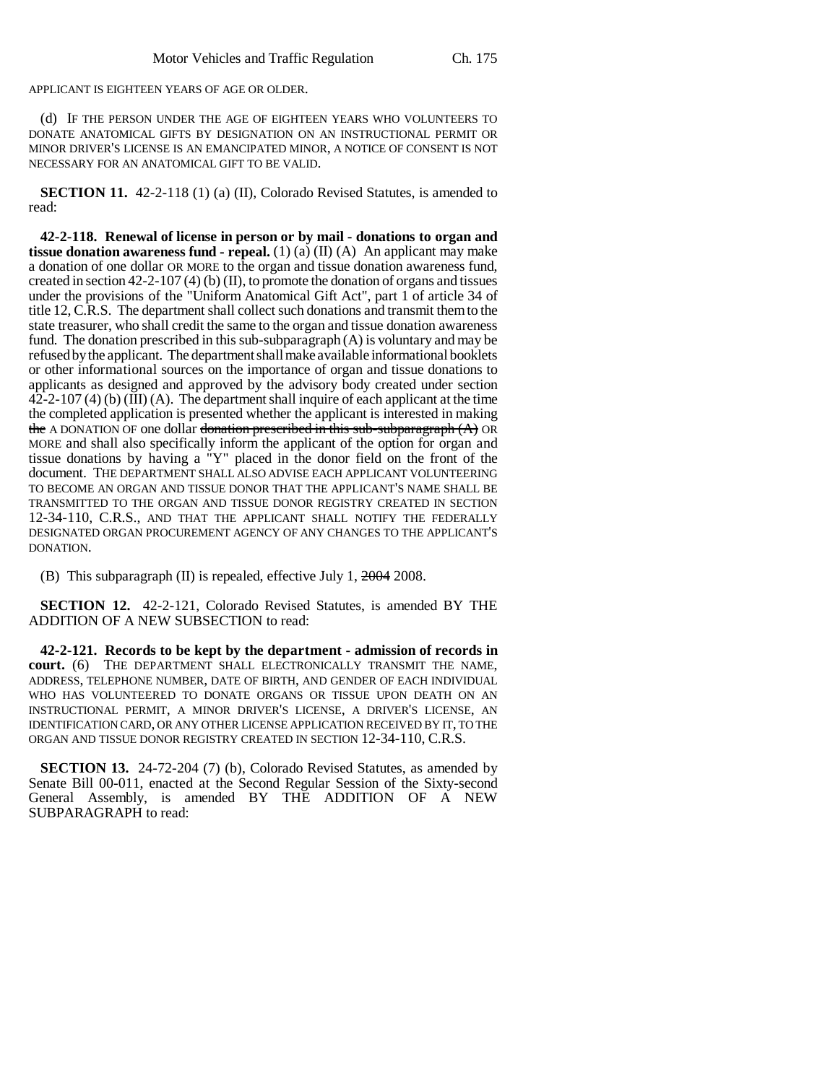APPLICANT IS EIGHTEEN YEARS OF AGE OR OLDER.

(d) IF THE PERSON UNDER THE AGE OF EIGHTEEN YEARS WHO VOLUNTEERS TO DONATE ANATOMICAL GIFTS BY DESIGNATION ON AN INSTRUCTIONAL PERMIT OR MINOR DRIVER'S LICENSE IS AN EMANCIPATED MINOR, A NOTICE OF CONSENT IS NOT NECESSARY FOR AN ANATOMICAL GIFT TO BE VALID.

**SECTION 11.** 42-2-118 (1) (a) (II), Colorado Revised Statutes, is amended to read:

**42-2-118. Renewal of license in person or by mail - donations to organ and tissue donation awareness fund - repeal.** (1) (a) (II) (A) An applicant may make a donation of one dollar OR MORE to the organ and tissue donation awareness fund, created in section 42-2-107 (4) (b) (II), to promote the donation of organs and tissues under the provisions of the "Uniform Anatomical Gift Act", part 1 of article 34 of title 12, C.R.S. The department shall collect such donations and transmit them to the state treasurer, who shall credit the same to the organ and tissue donation awareness fund. The donation prescribed in this sub-subparagraph (A) is voluntary and may be refused by the applicant. The department shall make available informational booklets or other informational sources on the importance of organ and tissue donations to applicants as designed and approved by the advisory body created under section  $42$ -2-107 (4) (b) (III) (A). The department shall inquire of each applicant at the time the completed application is presented whether the applicant is interested in making the A DONATION OF one dollar donation prescribed in this sub-subparagraph  $(A)$  OR MORE and shall also specifically inform the applicant of the option for organ and tissue donations by having a "Y" placed in the donor field on the front of the document. THE DEPARTMENT SHALL ALSO ADVISE EACH APPLICANT VOLUNTEERING TO BECOME AN ORGAN AND TISSUE DONOR THAT THE APPLICANT'S NAME SHALL BE TRANSMITTED TO THE ORGAN AND TISSUE DONOR REGISTRY CREATED IN SECTION 12-34-110, C.R.S., AND THAT THE APPLICANT SHALL NOTIFY THE FEDERALLY DESIGNATED ORGAN PROCUREMENT AGENCY OF ANY CHANGES TO THE APPLICANT'S DONATION.

(B) This subparagraph (II) is repealed, effective July 1,  $2004$  2008.

**SECTION 12.** 42-2-121, Colorado Revised Statutes, is amended BY THE ADDITION OF A NEW SUBSECTION to read:

**42-2-121. Records to be kept by the department - admission of records in court.** (6) THE DEPARTMENT SHALL ELECTRONICALLY TRANSMIT THE NAME, ADDRESS, TELEPHONE NUMBER, DATE OF BIRTH, AND GENDER OF EACH INDIVIDUAL WHO HAS VOLUNTEERED TO DONATE ORGANS OR TISSUE UPON DEATH ON AN INSTRUCTIONAL PERMIT, A MINOR DRIVER'S LICENSE, A DRIVER'S LICENSE, AN IDENTIFICATION CARD, OR ANY OTHER LICENSE APPLICATION RECEIVED BY IT, TO THE ORGAN AND TISSUE DONOR REGISTRY CREATED IN SECTION 12-34-110, C.R.S.

**SECTION 13.** 24-72-204 (7) (b), Colorado Revised Statutes, as amended by Senate Bill 00-011, enacted at the Second Regular Session of the Sixty-second General Assembly, is amended BY THE ADDITION OF A NEW SUBPARAGRAPH to read: